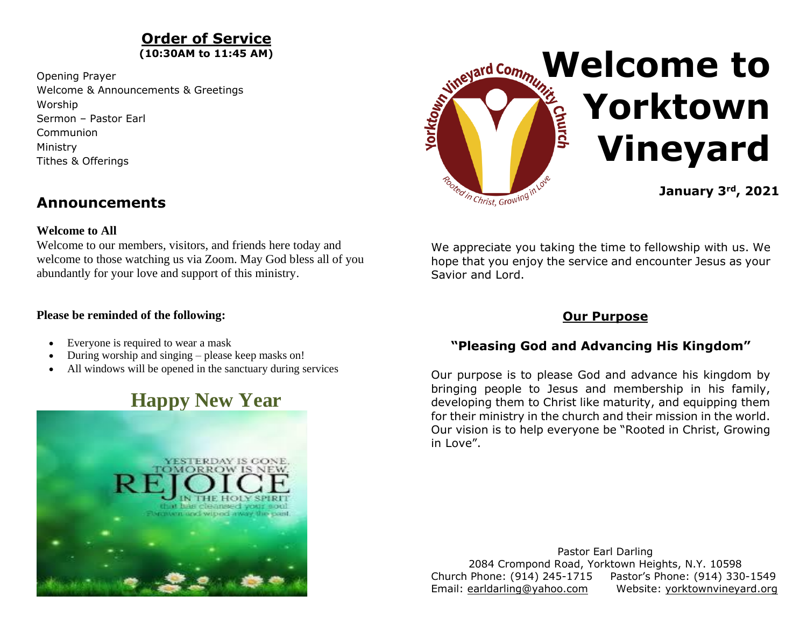### **Order of Service (10:30AM to 11:45 AM)**

Opening Prayer Welcome & Announcements & Greetings Worship Sermon – Pastor Earl Communion Ministry Tithes & Offerings



## **Announcements**

### **Welcome to All**

Welcome to our members, visitors, and friends here today and welcome to those watching us via Zoom. May God bless all of you abundantly for your love and support of this ministry.

### **Please be reminded of the following:**

- Everyone is required to wear a mask
- During worship and singing please keep masks on!
- All windows will be opened in the sanctuary during services

# **Happy New Year**



We appreciate you taking the time to fellowship with us. We hope that you enjoy the service and encounter Jesus as your Savior and Lord.

## **Our Purpose**

## **"Pleasing God and Advancing His Kingdom"**

Our purpose is to please God and advance his kingdom by bringing people to Jesus and membership in his family, developing them to Christ like maturity, and equipping them for their ministry in the church and their mission in the world. Our vision is to help everyone be "Rooted in Christ, Growing in Love".

Pastor Earl Darling 2084 Crompond Road, Yorktown Heights, N.Y. 10598 Church Phone: (914) 245-1715 Pastor's Phone: (914) 330-1549 Email: [earldarling@yahoo.com](about:blank) Website: [yorktownvineyard.org](about:blank)